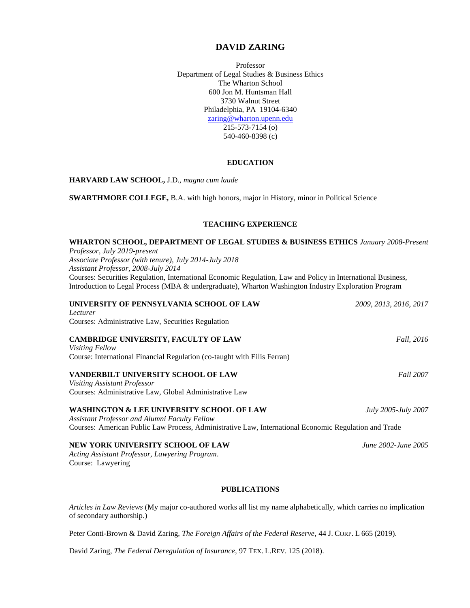# **DAVID ZARING**

Professor Department of Legal Studies & Business Ethics The Wharton School 600 Jon M. Huntsman Hall 3730 Walnut Street Philadelphia, PA 19104-6340 [zaring@wharton.upenn.edu](mailto:zaring@wharton.upenn.edu) 215-573-7154 (o) 540-460-8398 (c)

### **EDUCATION**

**HARVARD LAW SCHOOL,** J.D., *magna cum laude*

**SWARTHMORE COLLEGE,** B.A. with high honors*,* major in History, minor in Political Science

### **TEACHING EXPERIENCE**

| WHARTON SCHOOL, DEPARTMENT OF LEGAL STUDIES & BUSINESS ETHICS January 2008-Present                                                                                                                                   |                        |
|----------------------------------------------------------------------------------------------------------------------------------------------------------------------------------------------------------------------|------------------------|
| Professor, July 2019-present                                                                                                                                                                                         |                        |
| Associate Professor (with tenure), July 2014-July 2018<br>Assistant Professor, 2008-July 2014                                                                                                                        |                        |
|                                                                                                                                                                                                                      |                        |
| Courses: Securities Regulation, International Economic Regulation, Law and Policy in International Business,<br>Introduction to Legal Process (MBA & undergraduate), Wharton Washington Industry Exploration Program |                        |
| UNIVERSITY OF PENNSYLVANIA SCHOOL OF LAW                                                                                                                                                                             | 2009, 2013, 2016, 2017 |
| Lecturer                                                                                                                                                                                                             |                        |
| Courses: Administrative Law, Securities Regulation                                                                                                                                                                   |                        |
| CAMBRIDGE UNIVERSITY, FACULTY OF LAW                                                                                                                                                                                 | <i>Fall, 2016</i>      |
| Visiting Fellow                                                                                                                                                                                                      |                        |
| Course: International Financial Regulation (co-taught with Eilis Ferran)                                                                                                                                             |                        |
| VANDERBILT UNIVERSITY SCHOOL OF LAW                                                                                                                                                                                  | <b>Fall 2007</b>       |
| <b>Visiting Assistant Professor</b>                                                                                                                                                                                  |                        |
| Courses: Administrative Law, Global Administrative Law                                                                                                                                                               |                        |
| <b>WASHINGTON &amp; LEE UNIVERSITY SCHOOL OF LAW</b>                                                                                                                                                                 | July 2005-July 2007    |
| <b>Assistant Professor and Alumni Faculty Fellow</b>                                                                                                                                                                 |                        |
| Courses: American Public Law Process, Administrative Law, International Economic Regulation and Trade                                                                                                                |                        |
|                                                                                                                                                                                                                      |                        |
| NEW YORK UNIVERSITY SCHOOL OF LAW                                                                                                                                                                                    | June 2002-June 2005    |
| Acting Assistant Professor, Lawyering Program.                                                                                                                                                                       |                        |
| Course: Lawyering                                                                                                                                                                                                    |                        |
|                                                                                                                                                                                                                      |                        |
| <b>PUBLICATIONS</b>                                                                                                                                                                                                  |                        |

*Articles in Law Reviews* (My major co-authored works all list my name alphabetically, which carries no implication of secondary authorship.)

Peter Conti-Brown & David Zaring, *The Foreign Affairs of the Federal Reserve,* 44 J. CORP. L 665 (2019).

David Zaring, *The Federal Deregulation of Insurance,* 97 TEX. L.REV. 125 (2018).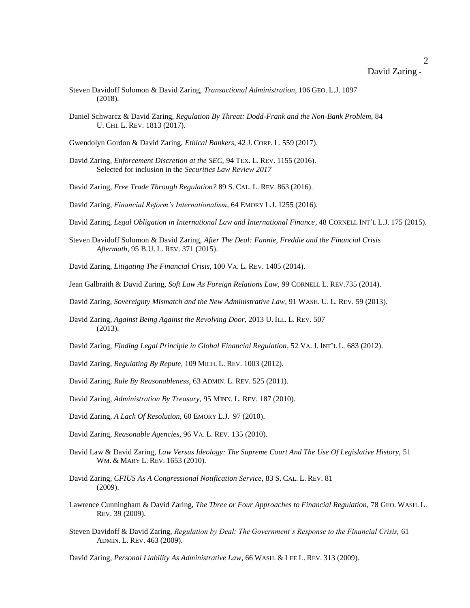## David Zaring -

- Steven Davidoff Solomon & David Zaring, *Transactional Administration,* 106 GEO. L.J. 1097 (2018).
- Daniel Schwarcz & David Zaring, *Regulation By Threat: Dodd-Frank and the Non-Bank Problem,* 84 U. CHI. L. REV. 1813 (2017).
- Gwendolyn Gordon & David Zaring, *Ethical Bankers*, 42 J. CORP. L. 559 (2017).
- David Zaring, *Enforcement Discretion at the SEC,* 94 TEX. L. REV. 1155 (2016). Selected for inclusion in the *Securities Law Review 2017*
- David Zaring, *Free Trade Through Regulation?* 89 S. CAL. L. REV. 863 (2016).
- David Zaring, *Financial Reform's Internationalism*, 64 EMORY L.J. 1255 (2016).
- David Zaring, *Legal Obligation in International Law and International Finance*, 48 CORNELL INT'L L.J. 175 (2015).
- Steven Davidoff Solomon & David Zaring, *After The Deal: Fannie, Freddie and the Financial Crisis Aftermath,* 95 B.U. L. REV. 371 (2015).
- David Zaring, *Litigating The Financial Crisis,* 100 VA. L. REV. 1405 (2014).
- Jean Galbraith & David Zaring, *Soft Law As Foreign Relations Law,* 99 CORNELL L. REV.735 (2014).
- David Zaring, *Sovereignty Mismatch and the New Administrative Law*, 91 WASH. U. L. REV. 59 (2013).
- David Zaring, *Against Being Against the Revolving Door*, 2013 U. ILL. L. REV. 507 (2013).
- David Zaring, *Finding Legal Principle in Global Financial Regulation*, 52 VA. J. INT'L L. 683 (2012).
- David Zaring, *Regulating By Repute,* 109 MICH. L. REV. 1003 (2012).
- David Zaring, *Rule By Reasonableness,* 63 ADMIN. L. REV. 525 (2011).
- David Zaring, *Administration By Treasury,* 95 MINN. L. REV. 187 (2010).
- David Zaring, *A Lack Of Resolution,* 60 EMORY L.J. 97 (2010).
- David Zaring, *Reasonable Agencies,* 96 VA. L. REV. 135 (2010).
- David Law & David Zaring, *Law Versus Ideology: The Supreme Court And The Use Of Legislative History*, 51 WM. & MARY L. REV. 1653 (2010).
- David Zaring, *CFIUS As A Congressional Notification Service,* 83 S. CAL. L. REV. 81 (2009).
- Lawrence Cunningham & David Zaring, *The Three or Four Approaches to Financial Regulation*, 78 GEO. WASH. L. REV. 39 (2009).
- Steven Davidoff & David Zaring, *Regulation by Deal: The Government's Response to the Financial Crisis,* 61 ADMIN. L. REV. 463 (2009).
- David Zaring, *Personal Liability As Administrative Law*, 66 WASH. & LEE L. REV. 313 (2009).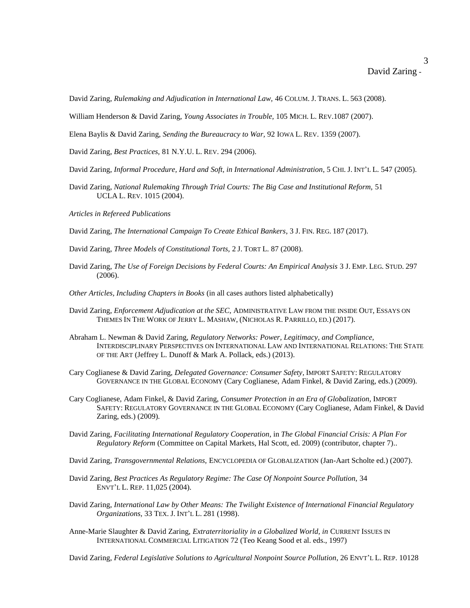3

David Zaring, *Rulemaking and Adjudication in International Law,* 46 COLUM. J. TRANS. L. 563 (2008).

William Henderson & David Zaring, *Young Associates in Trouble,* 105 MICH. L. REV.1087 (2007).

Elena Baylis & David Zaring, *Sending the Bureaucracy to War,* 92 IOWA L. REV. 1359 (2007).

David Zaring, *Best Practices,* 81 N.Y.U. L. REV. 294 (2006).

- David Zaring, *Informal Procedure, Hard and Soft, in International Administration*, 5 CHI. J. INT'L L. 547 (2005).
- David Zaring, *National Rulemaking Through Trial Courts: The Big Case and Institutional Reform,* 51 UCLA L. REV. 1015 (2004).
- *Articles in Refereed Publications*

David Zaring, *The International Campaign To Create Ethical Bankers*, 3 J. FIN. REG. 187 (2017).

David Zaring, *Three Models of Constitutional Torts,* 2 J. TORT L. 87 (2008).

David Zaring, *The Use of Foreign Decisions by Federal Courts: An Empirical Analysis* 3 J. EMP. LEG. STUD. 297 (2006).

*Other Articles, Including Chapters in Books* (in all cases authors listed alphabetically)

- David Zaring, *Enforcement Adjudication at the SEC,* ADMINISTRATIVE LAW FROM THE INSIDE OUT, ESSAYS ON THEMES IN THE WORK OF JERRY L. MASHAW, (NICHOLAS R. PARRILLO, ED.) (2017).
- Abraham L. Newman & David Zaring, *Regulatory Networks: Power, Legitimacy, and Compliance,*  INTERDISCIPLINARY PERSPECTIVES ON INTERNATIONAL LAW AND INTERNATIONAL RELATIONS: THE STATE OF THE ART (Jeffrey L. Dunoff & Mark A. Pollack, eds.) (2013).
- Cary Coglianese & David Zaring, *Delegated Governance: Consumer Safety,* IMPORT SAFETY: REGULATORY GOVERNANCE IN THE GLOBAL ECONOMY (Cary Coglianese, Adam Finkel, & David Zaring, eds.) (2009).
- Cary Coglianese, Adam Finkel, & David Zaring, *Consumer Protection in an Era of Globalization,* IMPORT SAFETY: REGULATORY GOVERNANCE IN THE GLOBAL ECONOMY (Cary Coglianese, Adam Finkel, & David Zaring, eds.) (2009).
- David Zaring, *Facilitating International Regulatory Cooperation*, in *The Global Financial Crisis: A Plan For Regulatory Reform* (Committee on Capital Markets, Hal Scott, ed. 2009) (contributor, chapter 7)..
- David Zaring, *Transgovernmental Relations,* ENCYCLOPEDIA OF GLOBALIZATION (Jan-Aart Scholte ed.) (2007).
- David Zaring, *Best Practices As Regulatory Regime: The Case Of Nonpoint Source Pollution,* 34 ENVT'L L. REP. 11,025 (2004).
- David Zaring, *International Law by Other Means: The Twilight Existence of International Financial Regulatory Organizations,* 33 TEX. J. INT'L L. 281 (1998).
- Anne-Marie Slaughter & David Zaring, *Extraterritoriality in a Globalized World, in* CURRENT ISSUES IN INTERNATIONAL COMMERCIAL LITIGATION 72 (Teo Keang Sood et al. eds., 1997)

David Zaring, *Federal Legislative Solutions to Agricultural Nonpoint Source Pollution*, 26 ENVT'L L. REP. 10128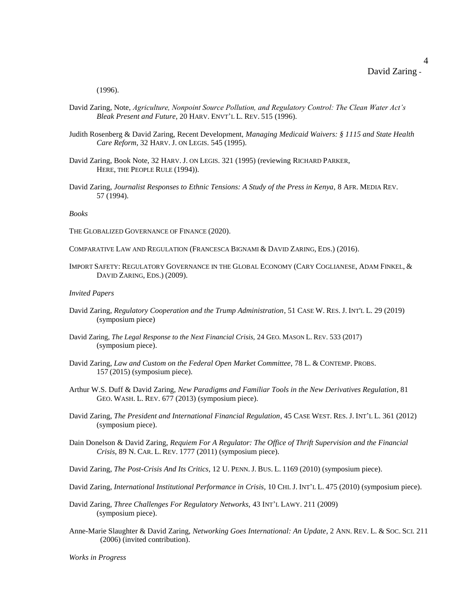4

(1996).

- David Zaring, Note, *Agriculture, Nonpoint Source Pollution, and Regulatory Control: The Clean Water Act's Bleak Present and Future*, 20 HARV. ENVT'L L. REV. 515 (1996).
- Judith Rosenberg & David Zaring, Recent Development, *Managing Medicaid Waivers: § 1115 and State Health Care Reform*, 32 HARV. J. ON LEGIS. 545 (1995).
- David Zaring, Book Note, 32 HARV. J. ON LEGIS. 321 (1995) (reviewing RICHARD PARKER, HERE, THE PEOPLE RULE (1994)).
- David Zaring, *Journalist Responses to Ethnic Tensions: A Study of the Press in Kenya,* 8 AFR. MEDIA REV. 57 (1994).

*Books*

- THE GLOBALIZED GOVERNANCE OF FINANCE (2020).
- COMPARATIVE LAW AND REGULATION (FRANCESCA BIGNAMI & DAVID ZARING, EDS.) (2016).
- IMPORT SAFETY: REGULATORY GOVERNANCE IN THE GLOBAL ECONOMY (CARY COGLIANESE, ADAM FINKEL, & DAVID ZARING, EDS.) (2009).

#### *Invited Papers*

- David Zaring, *Regulatory Cooperation and the Trump Administration*, 51 CASE W. RES. J. INT'L L. 29 (2019) (symposium piece)
- David Zaring, *The Legal Response to the Next Financial Crisis,* 24 GEO. MASON L. REV. 533 (2017) (symposium piece).
- David Zaring, *Law and Custom on the Federal Open Market Committee,* 78 L. & CONTEMP. PROBS. 157 (2015) (symposium piece).
- Arthur W.S. Duff & David Zaring, *New Paradigms and Familiar Tools in the New Derivatives Regulation*, 81 GEO. WASH. L. REV. 677 (2013) (symposium piece).
- David Zaring, *The President and International Financial Regulation*, 45 CASE WEST. RES. J. INT'L L. 361 (2012) (symposium piece).
- Dain Donelson & David Zaring, *Requiem For A Regulator: The Office of Thrift Supervision and the Financial Crisis,* 89 N. CAR. L. REV. 1777 (2011) (symposium piece).

David Zaring, *The Post-Crisis And Its Critics,* 12 U. PENN. J. BUS. L. 1169 (2010) (symposium piece).

- David Zaring, *International Institutional Performance in Crisis,* 10 CHI. J. INT'L L. 475 (2010) (symposium piece).
- David Zaring, *Three Challenges For Regulatory Networks,* 43 INT'L LAWY. 211 (2009) (symposium piece).
- Anne-Marie Slaughter & David Zaring, *Networking Goes International: An Update*, 2 ANN. REV. L. & SOC. SCI. 211 (2006) (invited contribution).

*Works in Progress*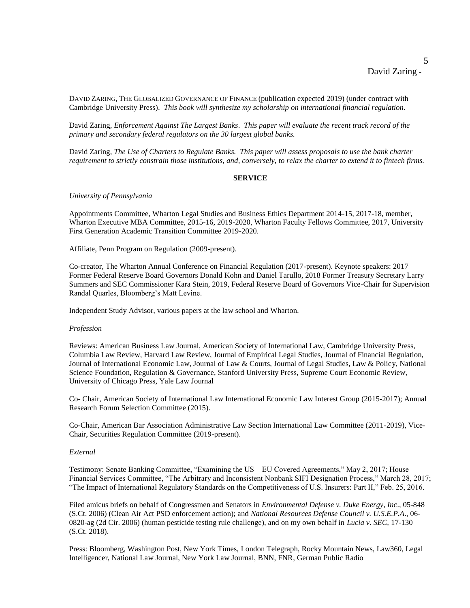5

DAVID ZARING, THE GLOBALIZED GOVERNANCE OF FINANCE (publication expected 2019) (under contract with Cambridge University Press). *This book will synthesize my scholarship on international financial regulation.*

David Zaring, *Enforcement Against The Largest Banks*. *This paper will evaluate the recent track record of the primary and secondary federal regulators on the 30 largest global banks.*

David Zaring, *The Use of Charters to Regulate Banks. This paper will assess proposals to use the bank charter requirement to strictly constrain those institutions, and, conversely, to relax the charter to extend it to fintech firms.*

#### **SERVICE**

### *University of Pennsylvania*

Appointments Committee, Wharton Legal Studies and Business Ethics Department 2014-15, 2017-18, member, Wharton Executive MBA Committee, 2015-16, 2019-2020, Wharton Faculty Fellows Committee, 2017, University First Generation Academic Transition Committee 2019-2020.

Affiliate, Penn Program on Regulation (2009-present).

Co-creator, The Wharton Annual Conference on Financial Regulation (2017-present). Keynote speakers: 2017 Former Federal Reserve Board Governors Donald Kohn and Daniel Tarullo, 2018 Former Treasury Secretary Larry Summers and SEC Commissioner Kara Stein, 2019, Federal Reserve Board of Governors Vice-Chair for Supervision Randal Quarles, Bloomberg's Matt Levine.

Independent Study Advisor, various papers at the law school and Wharton.

#### *Profession*

Reviews: American Business Law Journal, American Society of International Law, Cambridge University Press, Columbia Law Review, Harvard Law Review, Journal of Empirical Legal Studies, Journal of Financial Regulation, Journal of International Economic Law, Journal of Law & Courts, Journal of Legal Studies, Law & Policy, National Science Foundation, Regulation & Governance, Stanford University Press, Supreme Court Economic Review, University of Chicago Press, Yale Law Journal

Co- Chair, American Society of International Law International Economic Law Interest Group (2015-2017); Annual Research Forum Selection Committee (2015).

Co-Chair, American Bar Association Administrative Law Section International Law Committee (2011-2019), Vice-Chair, Securities Regulation Committee (2019-present).

#### *External*

Testimony: Senate Banking Committee, "Examining the US – EU Covered Agreements," May 2, 2017; House Financial Services Committee, "The Arbitrary and Inconsistent Nonbank SIFI Designation Process," March 28, 2017; "The Impact of International Regulatory Standards on the Competitiveness of U.S. Insurers: Part II," Feb. 25, 2016.

Filed amicus briefs on behalf of Congressmen and Senators in *Environmental Defense v. Duke Energy, Inc*., 05-848 (S.Ct. 2006) (Clean Air Act PSD enforcement action); and *National Resources Defense Council v. U.S.E.P.A*., 06- 0820-ag (2d Cir. 2006) (human pesticide testing rule challenge), and on my own behalf in *Lucia v. SEC,* 17-130 (S.Ct. 2018).

Press: Bloomberg, Washington Post, New York Times, London Telegraph, Rocky Mountain News, Law360, Legal Intelligencer, National Law Journal, New York Law Journal, BNN, FNR, German Public Radio